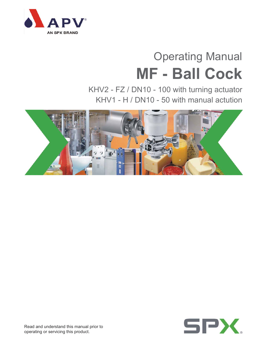

# Operating Manual **MF - Ball Cock**

KHV2 - FZ / DN10 - 100 with turning actuator KHV1 - H / DN10 - 50 with manual actution





Read and understand this manual prior to operating or servicing this product.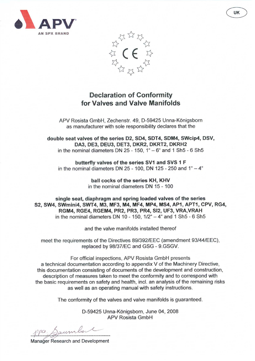



# **Declaration of Conformity** for Valves and Valve Manifolds

APV Rosista GmbH, Zechenstr. 49, D-59425 Unna-Königsborn as manufacturer with sole responsibility declares that the

double seat valves of the series D2, SD4, SDT4, SDM4, SWcip4, DSV, DA3, DE3, DEU3, DET3, DKR2, DKRT2, DKRH2 in the nominal diameters DN  $25 - 150$ ,  $1^{\circ} - 6^{\circ}$  and 1 Sh $5 - 6$  Sh $5$ 

butterfly valves of the series SV1 and SVS 1 F in the nominal diameters DN 25 - 100, DN 125 - 250 and  $1^{\circ} - 4^{\circ}$ 

> ball cocks of the series KH, KHV in the nominal diameters DN 15 - 100

single seat, diaphragm and spring loaded valves of the series S2, SW4, SWmini4, SWT4, M3, MF3, M4, MF4, MP4, MS4, AP1, APT1, CPV, RG4, RGM4, RGE4, RGEM4, PR2, PR3, PR4, SI2, UF3, VRA, VRAH in the nominal diameters DN 10 - 150,  $1/2^{\circ}$  - 4 $^{\circ}$  and 1 Sh5 - 6 Sh5

and the valve manifolds installed thereof

meet the requirements of the Directives 89/392/EEC (amendment 93/44/EEC), replaced by 98/37/EC and GSG - 9.GSGV.

For official inspections, APV Rosista GmbH presents a technical documentation according to appendix V of the Machinery Directive, this documentation consisting of documents of the development and construction, description of measures taken to meet the conformity and to correspond with the basic requirements on safety and health, incl. an analysis of the remaining risks as well as an operating manual with safety instructions.

The conformity of the valves and valve manifolds is guaranteed.

D-59425 Unna-Königsborn, June 04, 2008 **APV Rosista GmbH** 

aum

**Manager Research and Development**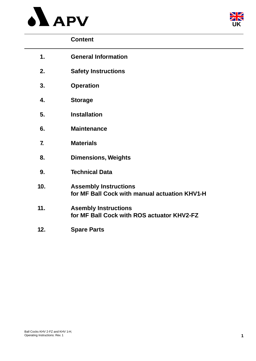



# **Content**

| 1.             | <b>General Information</b>                                                    |
|----------------|-------------------------------------------------------------------------------|
| 2.             | <b>Safety Instructions</b>                                                    |
| 3.             | <b>Operation</b>                                                              |
| 4.             | <b>Storage</b>                                                                |
| 5.             | <b>Installation</b>                                                           |
| 6.             | <b>Maintenance</b>                                                            |
| $\overline{7}$ | <b>Materials</b>                                                              |
| 8.             | <b>Dimensions, Weights</b>                                                    |
| 9.             | <b>Technical Data</b>                                                         |
| 10.            | <b>Assembly Instructions</b><br>for MF Ball Cock with manual actuation KHV1-H |
| 11.            | <b>Asembly Instructions</b><br>for MF Ball Cock with ROS actuator KHV2-FZ     |
| 12.            | <b>Spare Parts</b>                                                            |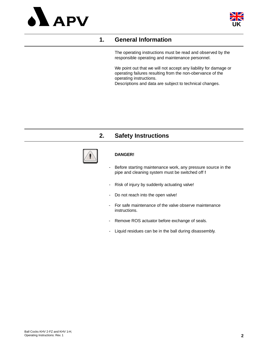



# **1. General Information**

The operating instructions must be read and observed by the responsible operating and maintenance personnel.

We point out that we will not accept any liability for damage or operating failures resulting from the non-obervance of the operating instructions. Descriptions and data are subject to technical changes.

# **2. Safety Instructions**



#### **DANGER!**

- Before starting maintenance work, any pressure source in the pipe and cleaning system must be switched off **!**
- Risk of injury by suddenly actuating valve!
- Do not reach into the open valve!
- For safe maintenance of the valve observe maintenance instructions.
- Remove ROS actuator before exchange of seals.
- Liquid residues can be in the ball during disassembly.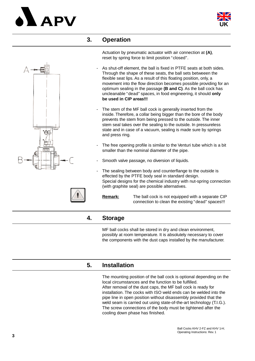# A PV



## **3. Operation**

Actuation by pneumatic actuator with air connection at **(A)**, reset by spring force to limit position "closed".

- As shut-off element, the ball is fixed in PTFE seats at both sides. Through the shape of these seats, the ball sets betweeen the flexible seat lips. As a result of this floating position, only, a movement into the flow direction becomes possible providing for an optimum sealing in the passage **(B and C)**. As the ball cock has uncleanable "dead" spaces, in food engineering, it should **only be used in CIP areas!!!**
- The stem of the MF ball cock is generally inserted from the inside. Therefore, a collar being bigger than the bore of the body prevents the stem from being pressed to the outside. The inner stem seal takes over the sealing to the outside. In pressureless state and in case of a vacuum, sealing is made sure by springs and press ring.
- The free opening profile is similar to the Venturi tube which is a bit smaller than the nominal diameter of the pipe.
- Smooth valve passage, no diversion of liquids.
- The sealing between body and counterflange to the outside is effected by the PTFE body seal in standard design. Special designs for the chemical industry with nut-spring connection (with graphite seal) are possible alternatives.

**Remark:** The ball cock is not equipped with a separate CIP connection to clean the existing "dead" spaces!!!

# **4. Storage**

MF ball cocks shall be stored in dry and clean environment, possibly at room temperature. It is absolutely necessary to cover the components with the dust caps installed by the manufacturer.

# **5. Installation**

The mounting position of the ball cock is optional depending on the local circumstances and the function to be fulfilled. After removal of the dust caps, the MF ball cock is ready for installation. The cocks with ISO weld ends can be welded into the pipe line in open position without disassembly provided that the weld seam is carried out using state-of-the-art technology (T.I.G.). The screw connections of the body must be tightened after the cooling down phase has finished.



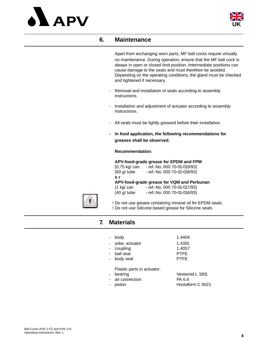



## **6. Maintenance**

Apart from exchanging worn parts, MF ball cocks require virtually no maintenance. During operation, ensure that the MF ball cock is always in open or closed limit position. Intermediate positions can cause damage to the seats and must therefore be avoided. Depending on the operating conditions, the gland must be checked and tightened if necessary.

- Removal and installation of seals according to assembly instructions.
- Installation and adjustment of actuator according to assembly instructions.
- All seals must be lightly greased before their installation.
- **In food application, the following recommendations for greases shall be observed.**

#### **Recommendation:**

#### **APV-food-grade grease for EPDM and FPM**

(0,75 kg/ can - ref.-No. 000 70-01-019/93) (60 g/ tube - ref.-No. 000 70-01-018/93) **o r**

#### **APV-food-grade grease for VQM and Perbunan**

| (1 kg/ can  | - ref.-No. 000 70-01-017/93) |
|-------------|------------------------------|
| (40 g/ tube | - ref.-No. 000 70-01-016/93) |



! Do not use grease containing mineral oil for EPDM seals. ! Do not use Silicone based grease for Silicone seals.

# **7. Materials**

| - body           | 1.4404      |
|------------------|-------------|
| - yoke, actuator | 1.4301      |
| - coupling       | 1.4057      |
| - ball seal      | <b>PTFE</b> |
| - body seal      | <b>PTFF</b> |

Plastic parts in actuator:

- 
- air connection PA 6.6
- 

bearing Vestamid L 1901 piston **Hostaform C 9021**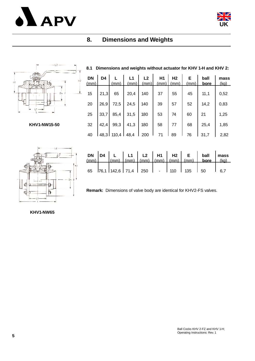



# **8. Dimensions and Weights**

#### **8.1 Dimensions and weights without actuator for KHV 1-H and KHV 2:**

| DN<br>(mm) | D4   | (mm)         | L1<br>(mm) | L <sub>2</sub><br>(mm) | H1<br>(mm) | H <sub>2</sub><br>(mm) | Е<br>(mm) | ball<br>bore | mass<br>(kq) |
|------------|------|--------------|------------|------------------------|------------|------------------------|-----------|--------------|--------------|
| 15         | 21,3 | 65           | 20,4       | 140                    | 37         | 55                     | 45        | 11,1         | 0,52         |
| 20         | 26,9 | 72,5         | 24,5       | 140                    | 39         | 57                     | 52        | 14,2         | 0,83         |
| 25         | 33,7 | 85,4         | 31,5       | 180                    | 53         | 74                     | 60        | 21           | 1,25         |
| 32         | 42,4 | 99,3         | 41,3       | 180                    | 58         | 77                     | 68        | 25,4         | 1,85         |
| 40         |      | 48,3 110,4 l | 48,4       | 200                    | 71         | 89                     | 76        | 31.7         | 2,82         |

**KHV1-NW15-50**

ni.



|  |  |  |  | 65 $ 76,1 142,6 71,4 250$ - 110 135 50 16,7 |  |
|--|--|--|--|---------------------------------------------|--|

**Remark:** Dimensions of valve body are identical for KHV2-FS valves.

**KHV1-NW65**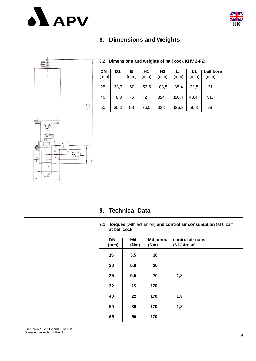



# **8. Dimensions and Weights**



#### **8.2 Dimensions and weights of ball cock KHV 2-FZ:**

|  |  | $25 \begin{array}{ c c c c c c } \hline 33.7 & 60 & 53.5 & 108.5 & 85.4 & 31.5 & 21 \ \hline \end{array}$ |  |
|--|--|-----------------------------------------------------------------------------------------------------------|--|
|  |  | 40   48,3   76   72   324   110,4   48,4   31,7                                                           |  |
|  |  |                                                                                                           |  |

# **9. Technical Data**

**9.1 Torques** (with actuation) **and control air consumption** (at 6 bar) **at ball cock**

| <b>DN</b><br>(mm) | Md<br>(Nm) | Md perm.  <br>(Nm) | control air cons.<br>(NL/stroke) |
|-------------------|------------|--------------------|----------------------------------|
| 15                | 3,5        | 30                 |                                  |
| 20                | 5,0        | 30                 |                                  |
| 25                | 9,5        | 70                 | 1,8                              |
| 32                | 15         | 170                |                                  |
| 40                | 22         | 170                | 1,8                              |
| 50                | 30         | 170                | 1,8                              |
| 65                | 50         | 170                |                                  |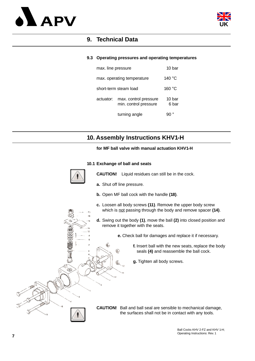



# **9. Technical Data**

#### **9.3 Operating pressures and operating temperatures**

| max. line pressure |                                                | 10 bar           |
|--------------------|------------------------------------------------|------------------|
|                    | max. operating temperature                     | 140 °C           |
|                    | short-term steam load                          | 160 $^{\circ}$ C |
| actuator:          | max. control pressure<br>min. control pressure | 10 bar<br>6 bar  |
|                    | turning angle                                  |                  |

# **10. Assembly Instructions KHV1-H**

#### **for MF ball valve with manual actuation KHV1-H**

#### **10.1 Exchange of ball and seats**



۵

1ŋ so **CAUTION!** Liquid residues can still be in the cock.

**a.** Shut off line pressure.

ெ

- **b.** Open MF ball cock with the handle **(18)**.
- **c.** Loosen all body screws **(11)**. Remove the upper body screw which is not passing through the body and remove spacer **(14)**.
- **d.** Swing out the body **(1)**, move the ball **(2)** into closed position and remove it together with the seats.
	- **e.** Check ball for damages and replace it if necessary.
		- **f.** Insert ball with the new seats, replace the body seals **(4)** and reassemble the ball cock.
		- **g.** Tighten all body screws.

**CAUTION!** Ball and ball seal are sensible to mechanical damage, the surfaces shall not be in contact with any tools.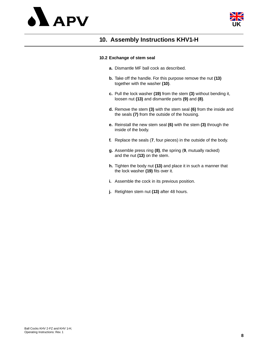



# **10. Assembly Instructions KHV1-H**

#### **10.2 Exchange of stem seal**

- **a.** Dismantle MF ball cock as described.
- **b.** Take off the handle. For this purpose remove the nut **(13)**  together with the washer **(10)**.
- **c.** Pull the lock washer **(19)** from the stem **(3)** without bending it, loosen nut **(13)** and dismantle parts **(9)** and **(8)**.
- **d.** Remove the stem **(3)** with the stem seal **(6)** from the inside and the seals **(7)** from the outside of the housing.
- **e.** Reinstall the new stem seal **(6)** with the stem **(3)** through the inside of the body.
- **f.** Replace the seals (**7**, four pieces) in the outside of the body.
- **g.** Assemble press ring **(8)**, the spring (**9**, mutually racked) and the nut **(13)** on the stem.
- **h.** Tighten the body nut **(13)** and place it in such a manner that the lock washer **(19)** fits over it.
- **i.** Assemble the cock in its previous position.
- **j.** Retighten stem nut **(13)** after 48 hours.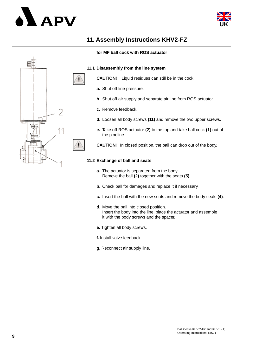



# **11. Assembly Instructions KHV2-FZ**

#### **for MF ball cock with ROS actuator**



**CAUTION!** Liquid residues can still be in the cock.

- **a.** Shut off line pressure.
- **b.** Shut off air supply and separate air line from ROS actuator.
- **c.** Remove feedback.
- **d.** Loosen all body screws **(11)** and remove the two upper screws.
- **e.** Take off ROS actuator **(2)** to the top and take ball cock **(1)** out of the pipeline.

**CAUTION!** In closed position, the ball can drop out of the body.

#### **11.2 Exchange of ball and seats**

- **a.** The actuator is separated from the body. Remove the ball **(2)** together with the seats **(5)**.
- **b.** Check ball for damages and replace it if necessary.
- **c.** Insert the ball with the new seats and remove the body seals **(4)**.
- **d.** Move the ball into closed position. Insert the body into the line, place the actuator and assemble it with the body screws and the spacer.
- **e.** Tighten all body screws.
- **f.** Install valve feedback.
- **g.** Reconnect air supply line.

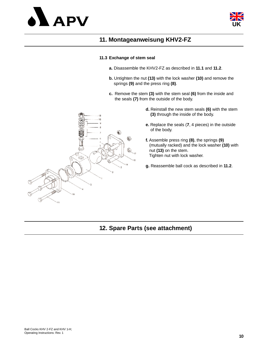



# **11. Montageanweisung KHV2-FZ**

#### **11.3 Exchange of stem seal**

- **a.** Disassemble the KHV2-FZ as described in **11.1** and **11.2**.
- **b.** Untighten the nut **(13)** with the lock washer **(10)** and remove the springs **(9)** and the press ring **(8)**.
- **c.** Remove the stem **(3)** with the stem seal **(6)** from the inside and the seals **(7)** from the outside of the body.
	- **d.** Reinstall the new stem seals **(6)** with the stem **(3)** through the inside of the body.
	- **e.** Replace the seals (**7**, 4 pieces) in the outside of the body.
	- **f.** Assemble press ring **(8)**, the springs **(9)** (mutually racked) and the lock washer **(10)** with nut **(13)** on the stem. Tighten nut with lock washer.
	- **g.** Reassemble ball cock as described in **11.2**.



# **12. Spare Parts (see attachment)**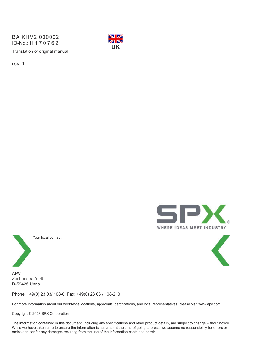Translation of original manual BA KHV2 000002 ID-No.: H170762



rev. 1





Your local contact:

APV Zechenstraße 49 D-59425 Unna

Phone: +49(0) 23 03/ 108-0 Fax: +49(0) 23 03 / 108-210

For more information about our worldwide locations, approvals, certifications, and local representatives, please visit www.apv.com.

Copyright © 2008 SPX Corporation

The information contained in this document, including any specifications and other product details, are subject to change without notice. While we have taken care to ensure the information is accurate at the time of going to press, we assume no responsibility for errors or omissions nor for any damages resulting from the use of the information contained herein.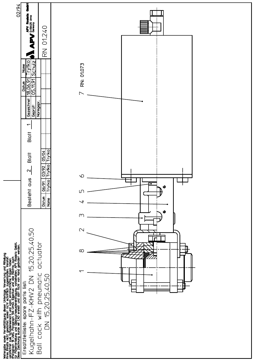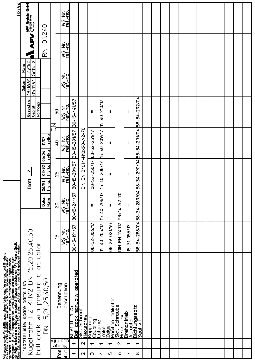| Weitergabe sowie Vervielfältigung dieser Unterlage, Verwertung und Mitteilung<br>ihres Finlatis nicht gestattet, soweit nicht schrifflich zugestanden. Verstoß<br>verpflichtet zum Schadensersatz und kann strafrechtliche Falgen ha |                    |                      |                               |                                                            |                                       |                                    |                                                                  |                        | 02/94                                              |
|--------------------------------------------------------------------------------------------------------------------------------------------------------------------------------------------------------------------------------------|--------------------|----------------------|-------------------------------|------------------------------------------------------------|---------------------------------------|------------------------------------|------------------------------------------------------------------|------------------------|----------------------------------------------------|
| Ersatzteilliste: spare parts list:<br>Kugelhahn-FZ-KHV2 DN 15,20,25,40,50<br>parts list:<br>COCK with                                                                                                                                | pneumatic actuator |                      |                               | 2<br>Blatt                                                 |                                       | Gezeichnet<br>Normgepr.<br>Geprüft | Schulz<br>Schulz<br>Name<br><u>18.06.91</u><br>05.11.91<br>Datum |                        | j<br><b>APV Roatsta</b><br><b>APV</b> D-59425 Urna |
| 15,20,25,40,50<br>$\overline{\widetilde{\Omega}}$                                                                                                                                                                                    |                    |                      | Datun<br>Name                 | <b>Trytko</b> Trytko<br>$rac{03/92}{2}$<br>Trytko<br>06/91 | <b>Trytkol</b><br>11/07<br>05/04      |                                    |                                                                  | 01.240<br>$\mathbb{R}$ |                                                    |
| Benennung                                                                                                                                                                                                                            |                    | ć                    | 20                            | 25                                                         | Q <sub>b</sub>                        | SQ                                 |                                                                  |                        |                                                    |
| description                                                                                                                                                                                                                          |                    | ref.-no.<br>ref.-no. | <b>WS-Nr.</b><br>ref.-no.     | wS-Nr.<br>ref.-no.                                         | <b>WS-Nc.<br/>WS-Nc.</b><br>ref - nc. | wS-Nr.<br>ref.-no.                 | WS-Nr.<br>ref.-no.                                               | WS-Nr.<br>ref - no.    | WS-Nr.<br>ref-no.                                  |
| cock manually operated<br><u>SZ+L</u><br>圧<br>KHVT.<br>$\frac{1}{100}$                                                                                                                                                               |                    | 30-15-191/57         | 30-15-241/57                  | 30-15-291/57                                               | 30-15-391/57                          | 30-15-441/57                       |                                                                  |                        |                                                    |
| Schraube<br>Hex.screw                                                                                                                                                                                                                |                    |                      |                               | DIN EN 24014-M10x90-A2-70                                  |                                       |                                    |                                                                  |                        |                                                    |
| <u>Kupplung</u><br>Coupling                                                                                                                                                                                                          |                    | 08-52-306/17         | $\mathbf l$                   | 08-52-250/17 08-52-251/17                                  |                                       | $\mathbf l$                        |                                                                  |                        |                                                    |
| _aterne<br><b>Yoke</b>                                                                                                                                                                                                               |                    | $15 - 40 - 205/17$   | 15-40-206/17                  | $15 - 40 - 208/17$                                         | 15-40-209/17                          | 15-40-210/17                       |                                                                  |                        |                                                    |
| Position indikator<br>Skt. Schraube<br>Zeiger                                                                                                                                                                                        |                    | 08-29-021/93         | $\mathbf l$                   | Ш                                                          | $\mathbf l$                           | $\mathbf{I}$                       |                                                                  |                        |                                                    |
| Hex.screw                                                                                                                                                                                                                            |                    | DIN EN 24017-M8x14   | $\circ$<br>7<br>$-42$         |                                                            |                                       |                                    |                                                                  |                        |                                                    |
| Drehantrieb<br>Actuator                                                                                                                                                                                                              |                    | 15-31-055/17         | $\mathbf{II}$                 | Ш                                                          | $\mathbf{I}$                          | Ш                                  |                                                                  |                        |                                                    |
| Dichtungssatz<br>Seal kit                                                                                                                                                                                                            |                    | 58-34-288/04         | $\overline{24}$<br>58-34-289/ | 34-290/04<br>$-8-1$                                        | 58-34-291/04                          | 58-34-292/04                       |                                                                  |                        |                                                    |
|                                                                                                                                                                                                                                      |                    |                      |                               |                                                            |                                       |                                    |                                                                  |                        |                                                    |
|                                                                                                                                                                                                                                      |                    |                      |                               |                                                            |                                       |                                    |                                                                  |                        |                                                    |
|                                                                                                                                                                                                                                      |                    |                      |                               |                                                            |                                       |                                    |                                                                  |                        |                                                    |
|                                                                                                                                                                                                                                      |                    |                      |                               |                                                            |                                       |                                    |                                                                  |                        |                                                    |
|                                                                                                                                                                                                                                      |                    |                      |                               |                                                            |                                       |                                    |                                                                  |                        |                                                    |
|                                                                                                                                                                                                                                      |                    |                      |                               |                                                            |                                       |                                    |                                                                  |                        |                                                    |
|                                                                                                                                                                                                                                      |                    |                      |                               |                                                            |                                       |                                    |                                                                  |                        |                                                    |
|                                                                                                                                                                                                                                      |                    |                      |                               |                                                            |                                       |                                    |                                                                  |                        |                                                    |
|                                                                                                                                                                                                                                      |                    |                      |                               |                                                            |                                       |                                    |                                                                  |                        |                                                    |
|                                                                                                                                                                                                                                      |                    |                      |                               |                                                            |                                       |                                    |                                                                  |                        |                                                    |
|                                                                                                                                                                                                                                      |                    |                      |                               |                                                            |                                       |                                    |                                                                  |                        |                                                    |
|                                                                                                                                                                                                                                      |                    |                      |                               |                                                            |                                       |                                    |                                                                  |                        |                                                    |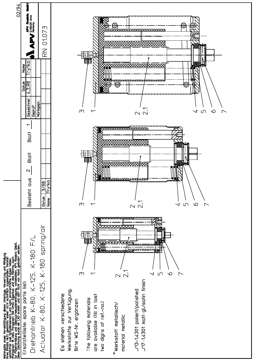